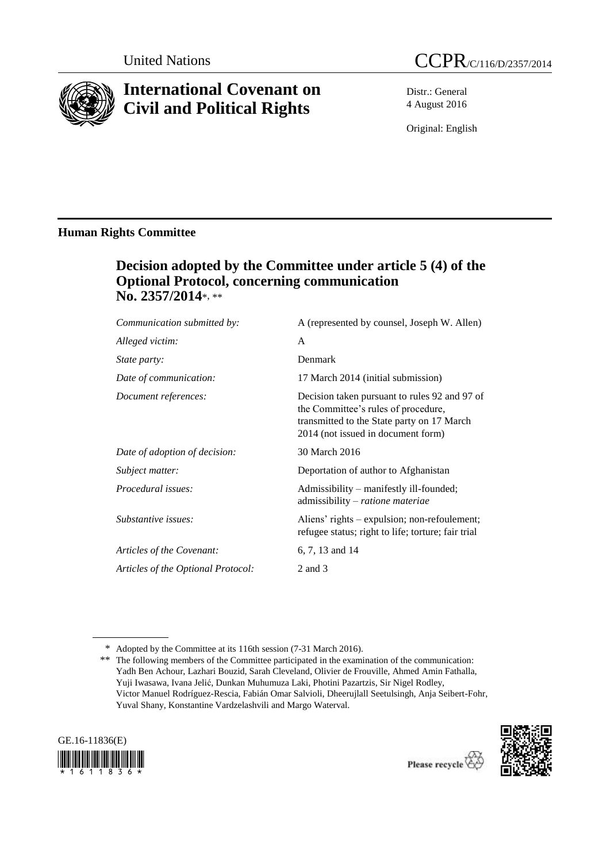

# **International Covenant on Civil and Political Rights**

Distr.: General 4 August 2016

Original: English

# **Human Rights Committee**

# **Decision adopted by the Committee under article 5 (4) of the Optional Protocol, concerning communication No. 2357/2014**\*, \*\*

| A (represented by counsel, Joseph W. Allen)                                                                                                                              |
|--------------------------------------------------------------------------------------------------------------------------------------------------------------------------|
| A                                                                                                                                                                        |
| Denmark                                                                                                                                                                  |
| 17 March 2014 (initial submission)                                                                                                                                       |
| Decision taken pursuant to rules 92 and 97 of<br>the Committee's rules of procedure,<br>transmitted to the State party on 17 March<br>2014 (not issued in document form) |
| 30 March 2016                                                                                                                                                            |
| Deportation of author to Afghanistan                                                                                                                                     |
| Admissibility – manifestly ill-founded;<br>admissibility – ratione materiae                                                                                              |
| Aliens' rights – expulsion; non-refoulement;<br>refugee status; right to life; torture; fair trial                                                                       |
| 6, 7, 13 and 14                                                                                                                                                          |
| 2 and 3                                                                                                                                                                  |
|                                                                                                                                                                          |

<sup>\*\*</sup> The following members of the Committee participated in the examination of the communication: Yadh Ben Achour, Lazhari Bouzid, Sarah Cleveland, Olivier de Frouville, Ahmed Amin Fathalla, Yuji Iwasawa, Ivana Jelić, Dunkan Muhumuza Laki, Photini Pazartzis, Sir Nigel Rodley, Victor Manuel Rodríguez-Rescia, Fabián Omar Salvioli, Dheerujlall Seetulsingh, Anja Seibert-Fohr, Yuval Shany, Konstantine Vardzelashvili and Margo Waterval.





<sup>\*</sup> Adopted by the Committee at its 116th session (7-31 March 2016).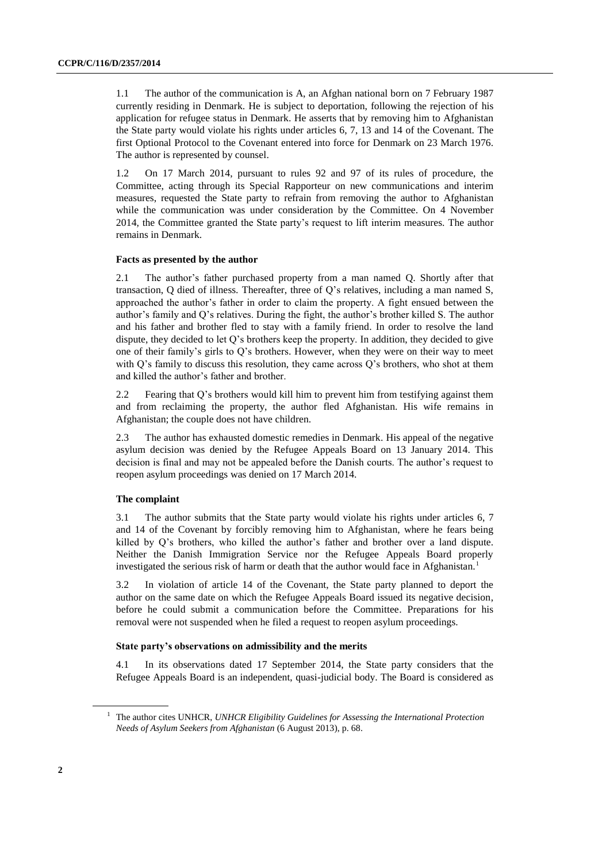1.1 The author of the communication is A, an Afghan national born on 7 February 1987 currently residing in Denmark. He is subject to deportation, following the rejection of his application for refugee status in Denmark. He asserts that by removing him to Afghanistan the State party would violate his rights under articles 6, 7, 13 and 14 of the Covenant. The first Optional Protocol to the Covenant entered into force for Denmark on 23 March 1976. The author is represented by counsel.

1.2 On 17 March 2014, pursuant to rules 92 and 97 of its rules of procedure, the Committee, acting through its Special Rapporteur on new communications and interim measures, requested the State party to refrain from removing the author to Afghanistan while the communication was under consideration by the Committee. On 4 November 2014, the Committee granted the State party's request to lift interim measures. The author remains in Denmark.

### **Facts as presented by the author**

2.1 The author's father purchased property from a man named Q. Shortly after that transaction, O died of illness. Thereafter, three of O's relatives, including a man named S, approached the author's father in order to claim the property. A fight ensued between the author's family and Q's relatives. During the fight, the author's brother killed S. The author and his father and brother fled to stay with a family friend. In order to resolve the land dispute, they decided to let  $O$ 's brothers keep the property. In addition, they decided to give one of their family's girls to Q's brothers. However, when they were on their way to meet with Q's family to discuss this resolution, they came across Q's brothers, who shot at them and killed the author's father and brother.

2.2 Fearing that Q's brothers would kill him to prevent him from testifying against them and from reclaiming the property, the author fled Afghanistan. His wife remains in Afghanistan; the couple does not have children.

2.3 The author has exhausted domestic remedies in Denmark. His appeal of the negative asylum decision was denied by the Refugee Appeals Board on 13 January 2014. This decision is final and may not be appealed before the Danish courts. The author's request to reopen asylum proceedings was denied on 17 March 2014.

# **The complaint**

3.1 The author submits that the State party would violate his rights under articles 6, 7 and 14 of the Covenant by forcibly removing him to Afghanistan, where he fears being killed by Q's brothers, who killed the author's father and brother over a land dispute. Neither the Danish Immigration Service nor the Refugee Appeals Board properly investigated the serious risk of harm or death that the author would face in Afghanistan.<sup>1</sup>

3.2 In violation of article 14 of the Covenant, the State party planned to deport the author on the same date on which the Refugee Appeals Board issued its negative decision, before he could submit a communication before the Committee. Preparations for his removal were not suspended when he filed a request to reopen asylum proceedings.

# **State party's observations on admissibility and the merits**

4.1 In its observations dated 17 September 2014, the State party considers that the Refugee Appeals Board is an independent, quasi-judicial body. The Board is considered as

<sup>1</sup> The author cites UNHCR, *UNHCR Eligibility Guidelines for Assessing the International Protection Needs of Asylum Seekers from Afghanistan* (6 August 2013), p. 68.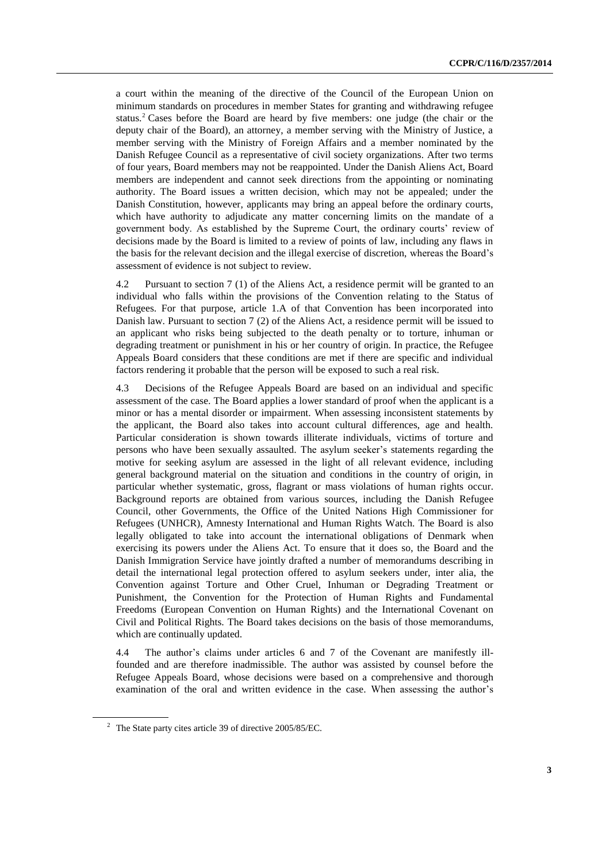a court within the meaning of the directive of the Council of the European Union on minimum standards on procedures in member States for granting and withdrawing refugee status.<sup>2</sup> Cases before the Board are heard by five members: one judge (the chair or the deputy chair of the Board), an attorney, a member serving with the Ministry of Justice, a member serving with the Ministry of Foreign Affairs and a member nominated by the Danish Refugee Council as a representative of civil society organizations. After two terms of four years, Board members may not be reappointed. Under the Danish Aliens Act, Board members are independent and cannot seek directions from the appointing or nominating authority. The Board issues a written decision, which may not be appealed; under the Danish Constitution, however, applicants may bring an appeal before the ordinary courts, which have authority to adjudicate any matter concerning limits on the mandate of a government body. As established by the Supreme Court, the ordinary courts' review of decisions made by the Board is limited to a review of points of law, including any flaws in the basis for the relevant decision and the illegal exercise of discretion, whereas the Board's assessment of evidence is not subject to review.

4.2 Pursuant to section 7 (1) of the Aliens Act, a residence permit will be granted to an individual who falls within the provisions of the Convention relating to the Status of Refugees. For that purpose, article 1.A of that Convention has been incorporated into Danish law. Pursuant to section 7 (2) of the Aliens Act, a residence permit will be issued to an applicant who risks being subjected to the death penalty or to torture, inhuman or degrading treatment or punishment in his or her country of origin. In practice, the Refugee Appeals Board considers that these conditions are met if there are specific and individual factors rendering it probable that the person will be exposed to such a real risk.

4.3 Decisions of the Refugee Appeals Board are based on an individual and specific assessment of the case. The Board applies a lower standard of proof when the applicant is a minor or has a mental disorder or impairment. When assessing inconsistent statements by the applicant, the Board also takes into account cultural differences, age and health. Particular consideration is shown towards illiterate individuals, victims of torture and persons who have been sexually assaulted. The asylum seeker's statements regarding the motive for seeking asylum are assessed in the light of all relevant evidence, including general background material on the situation and conditions in the country of origin, in particular whether systematic, gross, flagrant or mass violations of human rights occur. Background reports are obtained from various sources, including the Danish Refugee Council, other Governments, the Office of the United Nations High Commissioner for Refugees (UNHCR), Amnesty International and Human Rights Watch. The Board is also legally obligated to take into account the international obligations of Denmark when exercising its powers under the Aliens Act. To ensure that it does so, the Board and the Danish Immigration Service have jointly drafted a number of memorandums describing in detail the international legal protection offered to asylum seekers under, inter alia, the Convention against Torture and Other Cruel, Inhuman or Degrading Treatment or Punishment, the Convention for the Protection of Human Rights and Fundamental Freedoms (European Convention on Human Rights) and the International Covenant on Civil and Political Rights. The Board takes decisions on the basis of those memorandums, which are continually updated.

4.4 The author's claims under articles 6 and 7 of the Covenant are manifestly illfounded and are therefore inadmissible. The author was assisted by counsel before the Refugee Appeals Board, whose decisions were based on a comprehensive and thorough examination of the oral and written evidence in the case. When assessing the author's

<sup>2</sup> The State party cites article 39 of directive 2005/85/EC.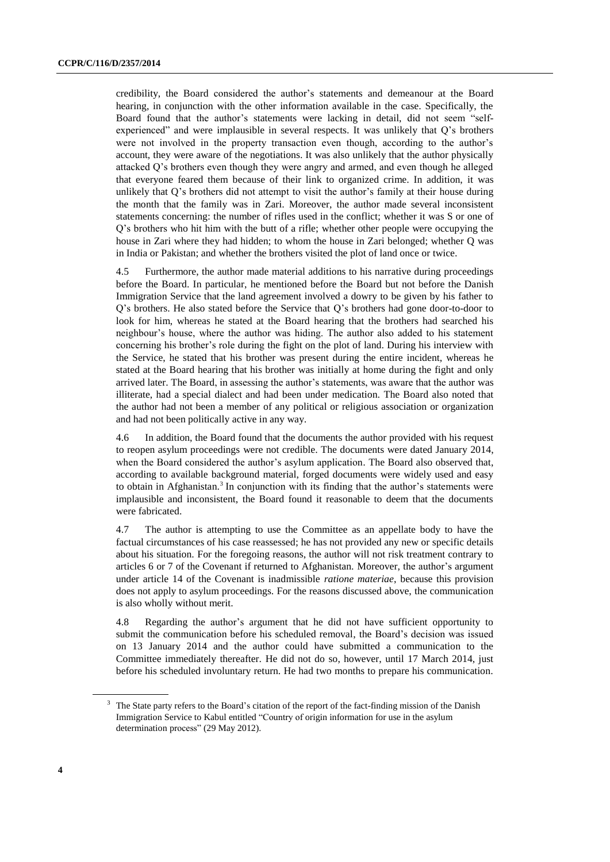credibility, the Board considered the author's statements and demeanour at the Board hearing, in conjunction with the other information available in the case. Specifically, the Board found that the author's statements were lacking in detail, did not seem "selfexperienced" and were implausible in several respects. It was unlikely that Q's brothers were not involved in the property transaction even though, according to the author's account, they were aware of the negotiations. It was also unlikely that the author physically attacked Q's brothers even though they were angry and armed, and even though he alleged that everyone feared them because of their link to organized crime. In addition, it was unlikely that Q's brothers did not attempt to visit the author's family at their house during the month that the family was in Zari. Moreover, the author made several inconsistent statements concerning: the number of rifles used in the conflict; whether it was S or one of Q's brothers who hit him with the butt of a rifle; whether other people were occupying the house in Zari where they had hidden; to whom the house in Zari belonged; whether Q was in India or Pakistan; and whether the brothers visited the plot of land once or twice.

4.5 Furthermore, the author made material additions to his narrative during proceedings before the Board. In particular, he mentioned before the Board but not before the Danish Immigration Service that the land agreement involved a dowry to be given by his father to Q's brothers. He also stated before the Service that Q's brothers had gone door-to-door to look for him, whereas he stated at the Board hearing that the brothers had searched his neighbour's house, where the author was hiding. The author also added to his statement concerning his brother's role during the fight on the plot of land. During his interview with the Service, he stated that his brother was present during the entire incident, whereas he stated at the Board hearing that his brother was initially at home during the fight and only arrived later. The Board, in assessing the author's statements, was aware that the author was illiterate, had a special dialect and had been under medication. The Board also noted that the author had not been a member of any political or religious association or organization and had not been politically active in any way.

4.6 In addition, the Board found that the documents the author provided with his request to reopen asylum proceedings were not credible. The documents were dated January 2014, when the Board considered the author's asylum application. The Board also observed that, according to available background material, forged documents were widely used and easy to obtain in Afghanistan.<sup>3</sup> In conjunction with its finding that the author's statements were implausible and inconsistent, the Board found it reasonable to deem that the documents were fabricated.

4.7 The author is attempting to use the Committee as an appellate body to have the factual circumstances of his case reassessed; he has not provided any new or specific details about his situation. For the foregoing reasons, the author will not risk treatment contrary to articles 6 or 7 of the Covenant if returned to Afghanistan. Moreover, the author's argument under article 14 of the Covenant is inadmissible *ratione materiae*, because this provision does not apply to asylum proceedings. For the reasons discussed above, the communication is also wholly without merit.

4.8 Regarding the author's argument that he did not have sufficient opportunity to submit the communication before his scheduled removal, the Board's decision was issued on 13 January 2014 and the author could have submitted a communication to the Committee immediately thereafter. He did not do so, however, until 17 March 2014, just before his scheduled involuntary return. He had two months to prepare his communication.

The State party refers to the Board's citation of the report of the fact-finding mission of the Danish Immigration Service to Kabul entitled "Country of origin information for use in the asylum determination process" (29 May 2012).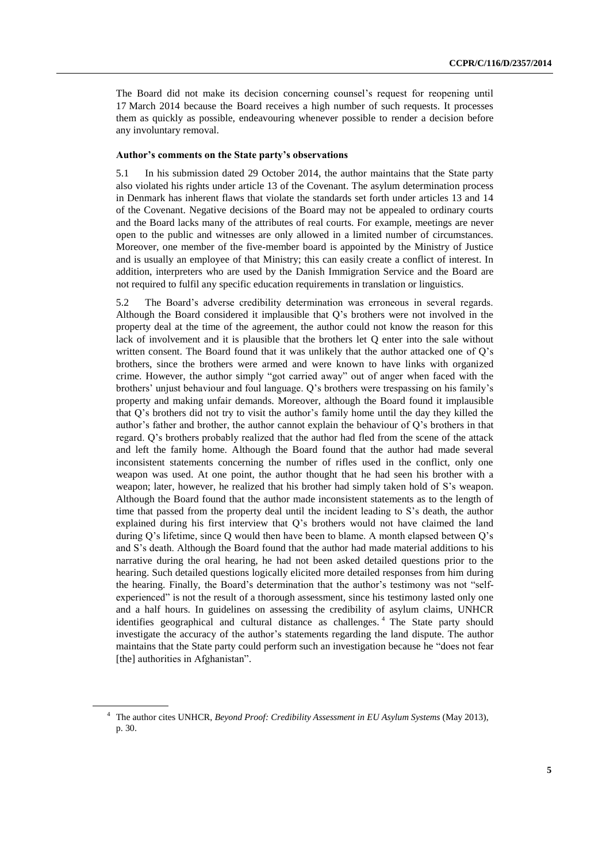The Board did not make its decision concerning counsel's request for reopening until 17 March 2014 because the Board receives a high number of such requests. It processes them as quickly as possible, endeavouring whenever possible to render a decision before any involuntary removal.

### **Author's comments on the State party's observations**

5.1 In his submission dated 29 October 2014, the author maintains that the State party also violated his rights under article 13 of the Covenant. The asylum determination process in Denmark has inherent flaws that violate the standards set forth under articles 13 and 14 of the Covenant. Negative decisions of the Board may not be appealed to ordinary courts and the Board lacks many of the attributes of real courts. For example, meetings are never open to the public and witnesses are only allowed in a limited number of circumstances. Moreover, one member of the five-member board is appointed by the Ministry of Justice and is usually an employee of that Ministry; this can easily create a conflict of interest. In addition, interpreters who are used by the Danish Immigration Service and the Board are not required to fulfil any specific education requirements in translation or linguistics.

5.2 The Board's adverse credibility determination was erroneous in several regards. Although the Board considered it implausible that Q's brothers were not involved in the property deal at the time of the agreement, the author could not know the reason for this lack of involvement and it is plausible that the brothers let Q enter into the sale without written consent. The Board found that it was unlikely that the author attacked one of Q's brothers, since the brothers were armed and were known to have links with organized crime. However, the author simply "got carried away" out of anger when faced with the brothers' unjust behaviour and foul language. Q's brothers were trespassing on his family's property and making unfair demands. Moreover, although the Board found it implausible that Q's brothers did not try to visit the author's family home until the day they killed the author's father and brother, the author cannot explain the behaviour of Q's brothers in that regard. Q's brothers probably realized that the author had fled from the scene of the attack and left the family home. Although the Board found that the author had made several inconsistent statements concerning the number of rifles used in the conflict, only one weapon was used. At one point, the author thought that he had seen his brother with a weapon; later, however, he realized that his brother had simply taken hold of S's weapon. Although the Board found that the author made inconsistent statements as to the length of time that passed from the property deal until the incident leading to S's death, the author explained during his first interview that Q's brothers would not have claimed the land during Q's lifetime, since Q would then have been to blame. A month elapsed between Q's and S's death. Although the Board found that the author had made material additions to his narrative during the oral hearing, he had not been asked detailed questions prior to the hearing. Such detailed questions logically elicited more detailed responses from him during the hearing. Finally, the Board's determination that the author's testimony was not "selfexperienced" is not the result of a thorough assessment, since his testimony lasted only one and a half hours. In guidelines on assessing the credibility of asylum claims, UNHCR identifies geographical and cultural distance as challenges. <sup>4</sup> The State party should investigate the accuracy of the author's statements regarding the land dispute. The author maintains that the State party could perform such an investigation because he "does not fear [the] authorities in Afghanistan".

<sup>4</sup> The author cites UNHCR, *Beyond Proof: Credibility Assessment in EU Asylum Systems* (May 2013), p. 30.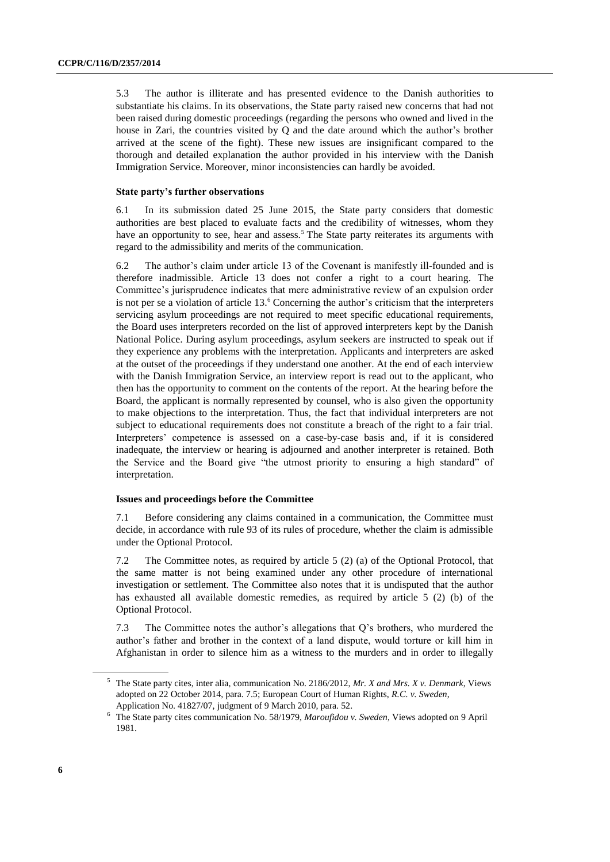5.3 The author is illiterate and has presented evidence to the Danish authorities to substantiate his claims. In its observations, the State party raised new concerns that had not been raised during domestic proceedings (regarding the persons who owned and lived in the house in Zari, the countries visited by Q and the date around which the author's brother arrived at the scene of the fight). These new issues are insignificant compared to the thorough and detailed explanation the author provided in his interview with the Danish Immigration Service. Moreover, minor inconsistencies can hardly be avoided.

### **State party's further observations**

6.1 In its submission dated 25 June 2015, the State party considers that domestic authorities are best placed to evaluate facts and the credibility of witnesses, whom they have an opportunity to see, hear and assess.<sup>5</sup> The State party reiterates its arguments with regard to the admissibility and merits of the communication.

6.2 The author's claim under article 13 of the Covenant is manifestly ill-founded and is therefore inadmissible. Article 13 does not confer a right to a court hearing. The Committee's jurisprudence indicates that mere administrative review of an expulsion order is not per se a violation of article 13.<sup>6</sup> Concerning the author's criticism that the interpreters servicing asylum proceedings are not required to meet specific educational requirements, the Board uses interpreters recorded on the list of approved interpreters kept by the Danish National Police. During asylum proceedings, asylum seekers are instructed to speak out if they experience any problems with the interpretation. Applicants and interpreters are asked at the outset of the proceedings if they understand one another. At the end of each interview with the Danish Immigration Service, an interview report is read out to the applicant, who then has the opportunity to comment on the contents of the report. At the hearing before the Board, the applicant is normally represented by counsel, who is also given the opportunity to make objections to the interpretation. Thus, the fact that individual interpreters are not subject to educational requirements does not constitute a breach of the right to a fair trial. Interpreters' competence is assessed on a case-by-case basis and, if it is considered inadequate, the interview or hearing is adjourned and another interpreter is retained. Both the Service and the Board give "the utmost priority to ensuring a high standard" of interpretation.

#### **Issues and proceedings before the Committee**

7.1 Before considering any claims contained in a communication, the Committee must decide, in accordance with rule 93 of its rules of procedure, whether the claim is admissible under the Optional Protocol.

7.2 The Committee notes, as required by article 5 (2) (a) of the Optional Protocol, that the same matter is not being examined under any other procedure of international investigation or settlement. The Committee also notes that it is undisputed that the author has exhausted all available domestic remedies, as required by article 5 (2) (b) of the Optional Protocol.

7.3 The Committee notes the author's allegations that Q's brothers, who murdered the author's father and brother in the context of a land dispute, would torture or kill him in Afghanistan in order to silence him as a witness to the murders and in order to illegally

<sup>5</sup> The State party cites, inter alia, communication No. 2186/2012, *Mr. X and Mrs. X v. Denmark*, Views adopted on 22 October 2014, para. 7.5; European Court of Human Rights, *R.C. v. Sweden*, Application No. 41827/07, judgment of 9 March 2010, para. 52.

<sup>6</sup> The State party cites communication No. 58/1979, *Maroufidou v. Sweden*, Views adopted on 9 April 1981.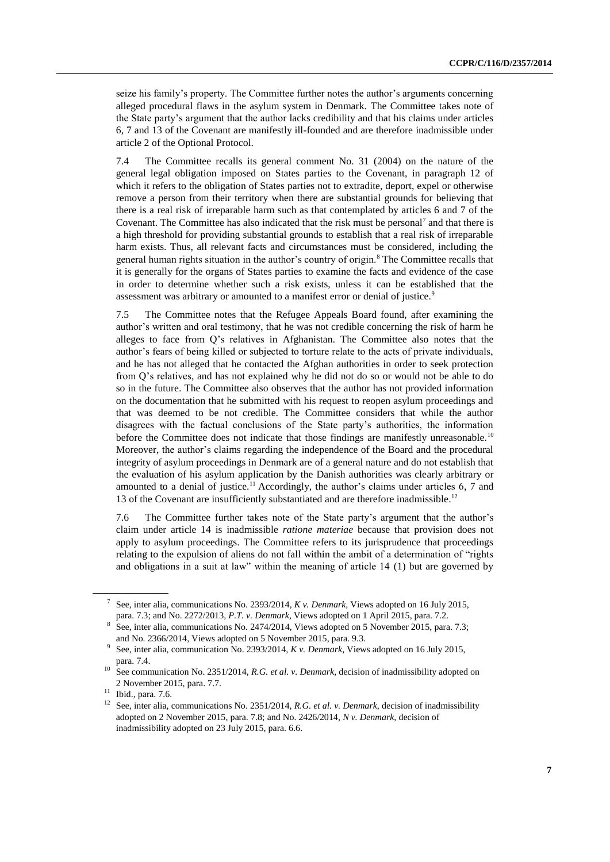seize his family's property. The Committee further notes the author's arguments concerning alleged procedural flaws in the asylum system in Denmark. The Committee takes note of the State party's argument that the author lacks credibility and that his claims under articles 6, 7 and 13 of the Covenant are manifestly ill-founded and are therefore inadmissible under article 2 of the Optional Protocol.

7.4 The Committee recalls its general comment No. 31 (2004) on the nature of the general legal obligation imposed on States parties to the Covenant, in paragraph 12 of which it refers to the obligation of States parties not to extradite, deport, expel or otherwise remove a person from their territory when there are substantial grounds for believing that there is a real risk of irreparable harm such as that contemplated by articles 6 and 7 of the Covenant. The Committee has also indicated that the risk must be personal<sup>7</sup> and that there is a high threshold for providing substantial grounds to establish that a real risk of irreparable harm exists. Thus, all relevant facts and circumstances must be considered, including the general human rights situation in the author's country of origin.<sup>8</sup> The Committee recalls that it is generally for the organs of States parties to examine the facts and evidence of the case in order to determine whether such a risk exists, unless it can be established that the assessment was arbitrary or amounted to a manifest error or denial of justice.<sup>9</sup>

7.5 The Committee notes that the Refugee Appeals Board found, after examining the author's written and oral testimony, that he was not credible concerning the risk of harm he alleges to face from Q's relatives in Afghanistan. The Committee also notes that the author's fears of being killed or subjected to torture relate to the acts of private individuals, and he has not alleged that he contacted the Afghan authorities in order to seek protection from Q's relatives, and has not explained why he did not do so or would not be able to do so in the future. The Committee also observes that the author has not provided information on the documentation that he submitted with his request to reopen asylum proceedings and that was deemed to be not credible. The Committee considers that while the author disagrees with the factual conclusions of the State party's authorities, the information before the Committee does not indicate that those findings are manifestly unreasonable.<sup>10</sup> Moreover, the author's claims regarding the independence of the Board and the procedural integrity of asylum proceedings in Denmark are of a general nature and do not establish that the evaluation of his asylum application by the Danish authorities was clearly arbitrary or amounted to a denial of justice.<sup>11</sup> Accordingly, the author's claims under articles 6, 7 and 13 of the Covenant are insufficiently substantiated and are therefore inadmissible.<sup>12</sup>

7.6 The Committee further takes note of the State party's argument that the author's claim under article 14 is inadmissible *ratione materiae* because that provision does not apply to asylum proceedings. The Committee refers to its jurisprudence that proceedings relating to the expulsion of aliens do not fall within the ambit of a determination of "rights and obligations in a suit at law" within the meaning of article 14 (1) but are governed by

<sup>7</sup> See, inter alia, communications No. 2393/2014, *K v. Denmark*, Views adopted on 16 July 2015, para. 7.3; and No. 2272/2013, *P.T. v. Denmark*, Views adopted on 1 April 2015, para. 7.2.

<sup>8</sup> See, inter alia, communications No. 2474/2014, Views adopted on 5 November 2015, para. 7.3; and No. 2366/2014, Views adopted on 5 November 2015, para. 9.3.

<sup>9</sup> See, inter alia, communication No. 2393/2014, *K v. Denmark*, Views adopted on 16 July 2015, para. 7.4.

<sup>&</sup>lt;sup>10</sup> See communication No. 2351/2014, *R.G. et al. v. Denmark*, decision of inadmissibility adopted on 2 November 2015, para. 7.7.

<sup>11</sup> Ibid., para. 7.6.

<sup>12</sup> See, inter alia, communications No. 2351/2014, *R.G. et al. v. Denmark*, decision of inadmissibility adopted on 2 November 2015, para. 7.8; and No. 2426/2014, *N v. Denmark*, decision of inadmissibility adopted on 23 July 2015, para. 6.6.